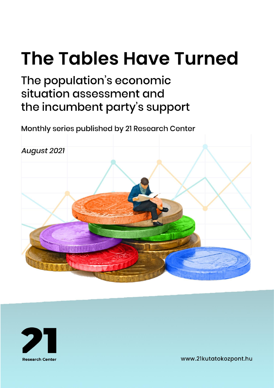# **The Tables Have Turned**

# The population's economic situation assessment and the incumbent party's support

Monthly series published by 21 Research Center





www.21kutatokozpont.hu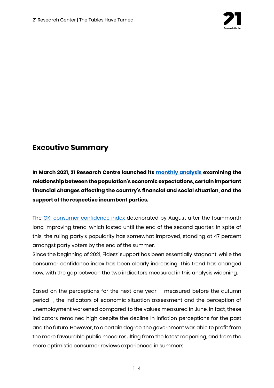

## **Executive Summary**

**In March 2021, 21 Research Centre launched its [monthly analysis](https://21kutatokozpont.hu/wp-content/uploads/2021/03/bizalmi_21marc.pdf) examining the relationship between the population's economic expectations, certain important financial changes affecting the country's financial and social situation, and the support of the respective incumbent parties.**

The [GKI consumer confidence index](https://www.gki.hu/language/hu/2021/08/29/augusztusban-is-felfele-araszolt-a-gki-konjunkturaindexe/) deteriorated by August after the four-month long improving trend, which lasted until the end of the second quarter. In spite of this, the ruling party's popularity has somewhat improved, standing at 47 percent amongst party voters by the end of the summer.

Since the beginning of 2021, Fidesz' support has been essentially stagnant, while the consumer confidence index has been clearly increasing. This trend has changed now, with the gap between the two indicators measured in this analysis widening.

Based on the perceptions for the next one year - measured before the autumn period -, the indicators of economic situation assessment and the perception of unemployment worsened compared to the values measured in June. In fact, these indicators remained high despite the decline in inflation perceptions for the past and the future. However, to a certain degree, the government was able to profit from the more favourable public mood resulting from the latest reopening, and from the more optimistic consumer reviews experienced in summers.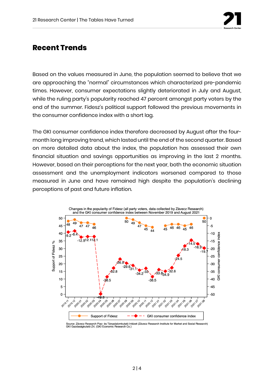

### **Recent Trends**

Based on the values measured in June, the population seemed to believe that we are approaching the "normal" circumstances which characterized pre-pandemic times. However, consumer expectations slightly deteriorated in July and August, while the ruling party's popularity reached 47 percent amongst party voters by the end of the summer. Fidesz's political support followed the previous movements in the consumer confidence index with a short lag.

The GKI consumer confidence index therefore decreased by August after the fourmonth long improving trend, which lasted until the end of the second quarter. Based on more detailed data about the index, the population has assessed their own financial situation and savings opportunities as improving in the last 2 months. However, based on their perceptions for the next year, both the economic situation assessment and the unemployment indicators worsened compared to those measured in June and have remained high despite the population's declining perceptions of past and future inflation.

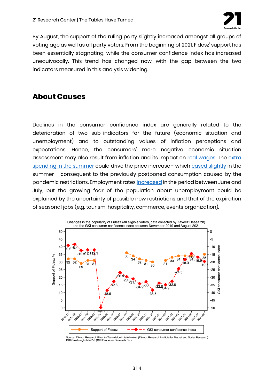

By August, the support of the ruling party slightly increased amongst all groups of voting age as well as all party voters. From the beginning of 2021, Fidesz' support has been essentially stagnating, while the consumer confidence index has increased unequivocally. This trend has changed now, with the gap between the two indicators measured in this analysis widening.

### **About Causes**

Declines in the consumer confidence index are generally related to the deterioration of two sub-indicators for the future (economic situation and unemployment) and to outstanding values of inflation perceptions and expectations. Hence, the consumers' more negative economic situation assessment may also result from inflation and its impact on [real wages.](https://www.portfolio.hu/gazdasag/20210831/zuhant-a-keresetek-vasarloereje-magyarorszagon-ennek-most-kevesen-fognak-orulni-498450) The extra [spending in the summer](https://www.ipsos.com/hu-hu/jarvany-elotti-idoszakot-tulszarnyalo-lakossagi-koltesek) could drive the price increase - which [eased slightly](https://www.portfolio.hu/gazdasag/20210810/itt-vannak-az-mnb-inflacios-mutatoi-melyek-szinten-csokkentek-495924) in the summer - consequent to the previously postponed consumption caused by the pandemic restrictions. Employment rates [increased](https://www.ksh.hu/docs/hun/xftp/gyor/fog/fog2107.html) in the period between June and July, but the growing fear of the population about unemployment could be explained by the uncertainty of possible new restrictions and that of the expiration of seasonal jobs (e.g. tourism, hospitality, commerce, events organization).



Source: Závecz Research Piac- és Társadalomkutató Intézet (Závecz Research Institute for Market and Social Research)<br>GKI Gazdaságkutató Zrt. (GKI Economic Research Co.)